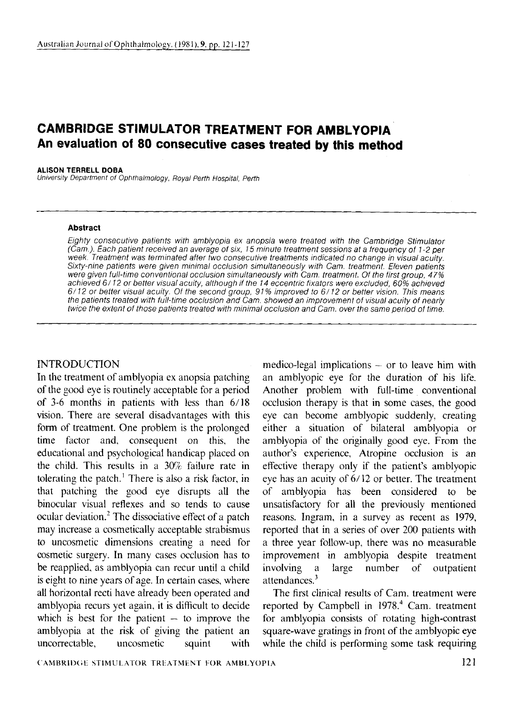# **CAMBRIDGE STIMULATOR TREATMENT FOR AMBLYOPIA An evaluation of 80 consecutive cases treated by this method**

#### **ALISON TERRELL DOBA**

*University Department of Ophthalmology, Royal ferth Hospdal, Perth* 

#### **Abstract**

*Eighty consecutive patients with amblyopia ex anopsia were treated with the Cambridge Stimulator (Cam.). Each patient received an average of six, 15 minute treatment sessions at a frequency of* **7-2** *per week. Treatment was terminated after two consecutive treatments indicated no change in visual acuity.*  Sixty-nine patients were given minimal occlusion simultaneously with Cam. treatment. Eleven patients *were given full-time conventional occlusion simultaneously with Cam. treatment. Of the first group, 47% achieved* 6/ *12 or better visual acuity, although if the 14 eccentric fixators were excluded,* 60% *achieved*  6/ *12 or better visual acuity. Of the second group, 91* % *improved to* 6/ *12 or better vision. This means the patients treated with full-time occlusion and Cam. showed an improvement of visual acuity of near/y twice the extent of those patients treated with minimal occlusion and Cam. over the same period of time.* 

### INTRODUCTION

In the treatment of amblyopia ex anopsia patching of the good eye is routinely acceptable for a period of 3-6 months in patients with less than 6/18 vision. There are several disadvantages with this form of treatment. One problem is the prolonged time factor and, consequent on this, the educational and psychological handicap placed on the child. This results in a 30% failure rate in tolerating the patch.' There is also a risk factor, in that patching the good eye disrupts all the binocular visual reflexes and *so* tends to cause ocular deviation.2 The dissociative effect of a patch may increase a cosmetically acceptable strabismus to uncosmetic dimensions creating a need for cosmetic surgery. In many cases occlusion has to be reapplied, as amblyopia can recur until a child is eight to nine years of age. In certain cases, where all horizontal recti have already been operated and amblyopia recurs yet again, it is difficult to decide which is best for the patient  $-$  to improve the amblyopia at the risk of giving the patient an uncorrectable, uncosmetic squint with  $medico$ -legal implications  $-$  or to leave him with an aniblyopic eye for the duration of his life. Another problem with full-time conventional occlusion therapy is that in some cases, the good eye can become amblyopic suddenly, creating either a situation of bilateral amblyopia or amblyopia of the originally good eye. From the author's experience, Atropine occlusion is an effective therapy only if the patient's amblyopic eye has an acuity of 6/12 or better. The treatment of amblyopia has been considered to be unsatisfactory for all the previously mentioned reasons. Ingram, in a survey as recent as 1979, reported that in a series of over 200 patients with a three year follow-up, there was no measurable improvement in amblyopia despite treatment involving a large number of outpatient attendances. $3$ 

The first clinical results of Cam. treatment were reported by Campbell in  $1978<sup>4</sup>$  Cam. treatment for amblyopia consists of rotating high-contrast square-wave gratings in front of the amblyopic eye while the child is performing some task requiring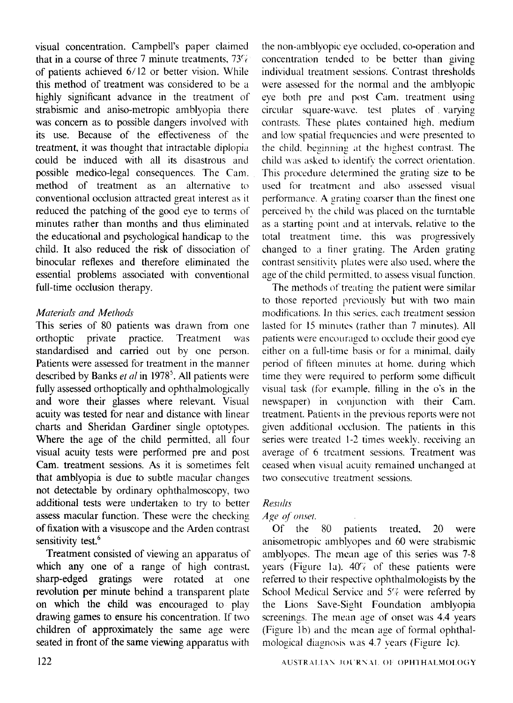visual concentration. Campbell's paper claimed that in a course of three 7 minute treatments, *73';*  of patients achieved 6/12 or better vision. While this method of treatment was considered to be a highly significant advance in the treatment of strabismic and aniso-metropic amblyopia there was concern as to possible dangers involved with its use. Because of the effectiveness of the treatment, it was thought that intractable diplopia could be induced with all its disastrous and possible medico-legal consequences. The Cam. method of treatment as an alternative to conventional occlusion attracted great interest as it reduced the patching of the good eye to terms of minutes rather than months and thus eliminated the educational and psychological handicap to the child. It also reduced the risk of dissociation of binocular reflexes and therefore eliminated the essential problems associated with conventional full-time occlusion therapy.

## **Materials and Methods**

This series of 80 patients was drawn from one orthoptic private practice. Treatment was standardised and carried out by one person. Patients were assessed for treatment in the manner described by Banks *et al* in 1978<sup>5</sup>. All patients were fully assessed orthoptically and ophthalmologically and wore their glasses where relevant. Visual acuity was tested for near and distance with linear charts and Sheridan Gardiner single optotypes. Where the age of the child permitted, all four visual acuity tests were performed pre and post Cam. treatment sessions. **As** it is sometimes felt that amblyopia is due to subtle macular changes not detectable by ordinary ophthalmoscopy, two additional tests were undertaken to try to better assess macular function. These were the checking of fixation with a visuscope and the Arden contrast sensitivity test.<sup>6</sup>

Treatment consisted of viewing an apparatus of which any one of a range of high contrast. sharp-edged gratings were rotated at one revolution per minute behind a transparent plate on which the child was encouraged to play drawing games to ensure his concentration. If two children of approximately the same age were seated in front of the same viewing apparatus with

the non-amblyopic eye occluded, co-operation and concentration tended to be better than giving individual treatment sessions. Contrast thresholds were assessed for the normal and the amblyopic eye both pre **and** post Cam. treatment using circular square-wave. test plates of , varying contrasts. These plates contained high. medium and low spatial frequencies and were presented to the child, beginning at the highest contrast. The child **\{.as** asked to identify the correct orientation. This procedure determined the grating size to he used for treatment and also assessed visual performance. **A** grating coarser than the tinest one perceived by the child was placed on the turntable as a starting point and at intervals. relative to the total treatment time. this was progressively changed to a finer grating. The Arden grating contrast sensitivity plates were also used, where the age of the child permitted. to assess visual function.

The methods of treating the patient were similar to those reported previously but with two main modifications. In this series, each treatment session lasted for 15 minutes (rather than 7 minutes). All patients were encouraged to occlude their good eye either on *a* full-time basis or for *a* minimal, daily period of fifteen minutes at home. during which time they were required to perform some difficult visual task (for example, filling in the o's in the newspaper) in conjunction with their Cam. treatment. Patients in the previous reports were not given additional occlusion. The patients in this series were treated 1-2 times weekly. receiving an average of 6 treatment sessions. Treatment was ceased when visual acuity remained unchanged at two consecutive treatment sessions.

## $Results$

## *Age of' oiiset.*

Of the 80 patients treated. 20 were anisometropic aniblyopes and 60 were strabismic amblyopes. The mean age of this series was 7-8 years (Figure 1a).  $40\%$  of these patients were referred to their respective ophthalmologists by the School Medical Service and 5% were referred by the Lions Save-Sight Foundation amblyopia screenings. The mean age of onset was 4.4 years (Figure lh) and the mean age of formal ophthalmological diagnosis was 4.7 years (Figure 1c).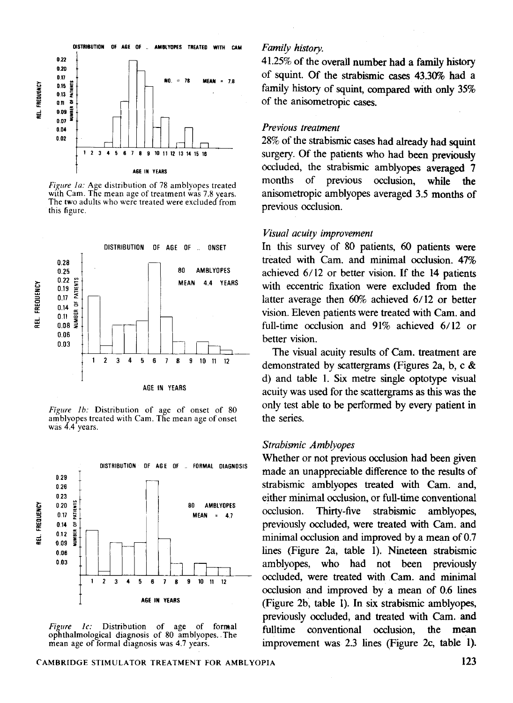

Figure 1a: Age distribution of 78 amblyopes treated with Cam. The mean age of treatment was 7.8 years. The two adults who were treated were excluded from this figure.



Figure 1b: Distribution of age of onset of 80 amblyopes treated with Cam. The mean age of onset was 4.4 years.



of **Figure** lc: Distribution age of formal ophthalmological diagnosis of 80 amblyopes. The mean age of formal diagnosis was 4.7 years.

## Family history.

41.25% of the overall number had a family history of squint. Of the strabismic cases 43.30% had a family history of squint, compared with only 35% of the anisometropic cases.

### Previous treatment

28% of the strabismic cases had already had squint surgery. Of the patients who had been previously occluded, the strabismic amblyopes averaged 7 months of previous occlusion, while the anisometropic amblyopes averaged 3.5 months of previous occlusion.

#### Visual acuity improvement

In this survey of 80 patients, 60 patients were treated with Cam. and minimal occlusion. 47% achieved 6/12 or better vision. If the 14 patients with eccentric fixation were excluded from the latter average then 60% achieved 6/12 or better vision. Eleven patients were treated with Cam. and full-time occlusion and 91% achieved 6/12 or better vision.

The visual acuity results of Cam. treatment are demonstrated by scattergrams (Figures 2a, b, c  $\&$ d) and table 1. Six metre single optotype visual acuity was used for the scattergrams as this was the only test able to be performed by every patient in the series.

## Strabismic Amblyopes

Whether or not previous occlusion had been given made an unappreciable difference to the results of strabismic amblyopes treated with Cam. and, either minimal occlusion, or full-time conventional occlusion. Thirty-five strabismic amblyopes. previously occluded, were treated with Cam. and minimal occlusion and improved by a mean of 0.7 lines (Figure 2a, table 1). Nineteen strabismic who had not been previously amblyopes, occluded, were treated with Cam. and minimal occlusion and improved by a mean of 0.6 lines (Figure 2b, table 1). In six strabismic amblyopes, previously occluded, and treated with Cam. and fulltime conventional occlusion, the mean improvement was 2.3 lines (Figure 2c, table 1).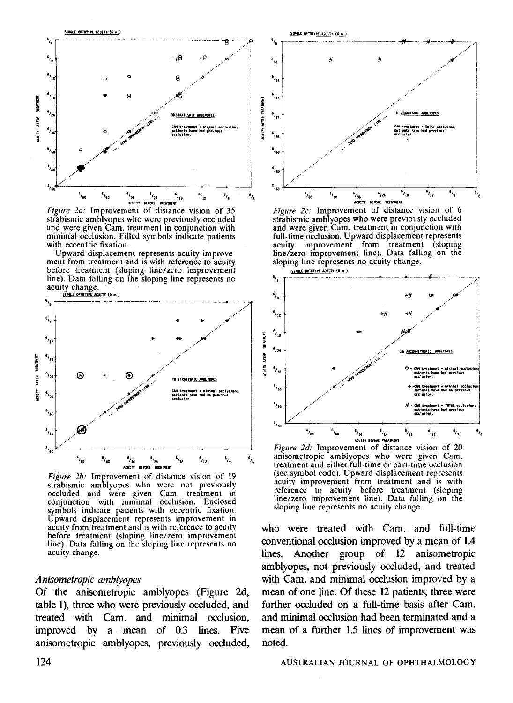

Figure 2a: Improvement of distance vision of 35 strabismic amblyopes who were previously occluded and were given Cam, treatment in conjunction with minimal occlusion. Filled symbols indicate patients with eccentric fixation.

Upward displacement represents acuity improvement from treatment and is with reference to acuity before treatment (sloping line/zero improvement line). Data falling on the sloping line represents no acuity change.



Figure 2b: Improvement of distance vision of 19 strabismic amblyopes who were not previously occluded and were given Cam. treatment in conjunction with minimal occlusion. Enclosed<br>symbols indicate patients with eccentric fixation. Upward displacement represents improvement in acuity from treatment and is with reference to acuity before treatment (sloping line/zero improvement line). Data falling on the sloping line represents no acuity change.

#### Anisometropic amblyopes

Of the anisometropic amblyopes (Figure 2d, table 1), three who were previously occluded, and treated with Cam. and minimal occlusion, improved by a mean of 0.3 lines. Five anisometropic amblyopes, previously occluded,



ACUITY AFTER TREATMENT

TREATMEN

**AFTER** 

ta<br>Ba

Figure 2c: Improvement of distance vision of 6 strabismic amblyopes who were previously occluded and were given Cam. treatment in conjunction with full-time occlusion. Upward displacement represents acuity improvement from treatment (sloping<br>line/zero improvement line). Data falling on the sloping line represents no acuity change.



Figure 2d: Improvement of distance vision of 20 anisometropic amblyopes who were given Cam.<br>treatment and either full-time or part-time occlusion (see symbol code). Upward displacement represents<br>acuity improvement from treatment and is with reference to acuity before treatment (sloping line/zero improvement line). Data falling on the sloping line represents no acuity change.

who were treated with Cam. and full-time conventional occlusion improved by a mean of 1.4 lines. Another group of 12 anisometropic amblyopes, not previously occluded, and treated with Cam. and minimal occlusion improved by a mean of one line. Of these 12 patients, three were further occluded on a full-time basis after Cam. and minimal occlusion had been terminated and a mean of a further 1.5 lines of improvement was noted.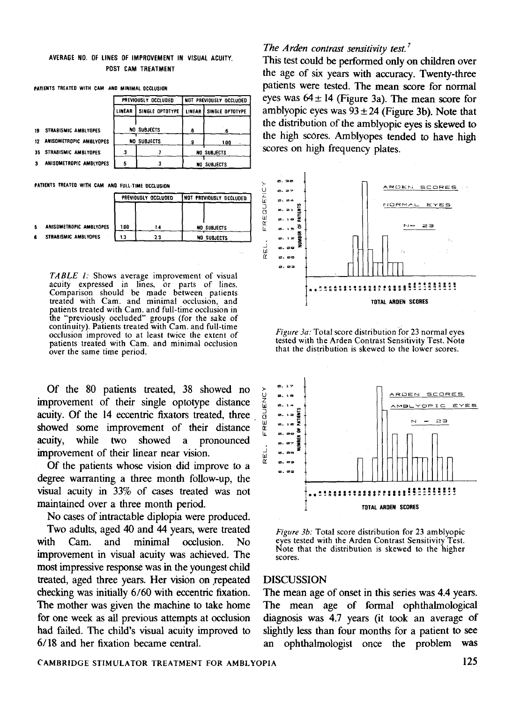#### **AVERAGE NO.** *OF* **LINES OF IMPROVEMENT IN VISUAL ACUITY, POST CAM TREATMENT**

|     |                             | PREVIOUSLY OCCLUDED |                    | NOT PREVIOUSLY OCCLUDED |                    |
|-----|-----------------------------|---------------------|--------------------|-------------------------|--------------------|
|     |                             | LINEAR              | SINGLE OPTOTYPE    | LINEAR                  | SINGLE OPTOTYPE    |
| 19  | STRABISMIC AMBLYOPES        | NO.                 | <b>SUBJECTS</b>    | 6.                      | .6                 |
| 17  | ANISOMETROPIC AMBLYOPES     |                     | <b>NO SUBJECTS</b> | .9                      | 1.00               |
| 35. | <b>STRABISMIC AMBLYOPES</b> | .3                  |                    |                         | <b>NO SUBJECTS</b> |
| а   | ANISOMETROPIC AMBLYOPES     | s                   |                    |                         | <b>NO SUBJECTS</b> |

**PATIENTS TREATEO WITH CAM AN0 MINIMAL OCCLUSION** 

**PATIENTS 1REATEO WITH CAM AN0 FULL-TIME OCCLUSION** 

|                         |      | PREVIOUSLY OCCLUDED | INGT PREVIOUSLY DECLUDED |                    |  |
|-------------------------|------|---------------------|--------------------------|--------------------|--|
|                         |      |                     |                          |                    |  |
|                         |      |                     |                          |                    |  |
| ANISOMETROPIC AMBLYOPES | 1.00 |                     |                          | <b>NO SUBJECTS</b> |  |
| STRABISMIC AMBLYOPES    | 1.3  | 2.3                 |                          | <b>NO SUBJECTS</b> |  |

TABLE 1: Shows average improvement of visual acuity expressed in lines, or parts *of* lines. Comparison should be made between patients treated with Cam. and minimal occlusion, and patients treated with Cam. and full-time occlusion in the "previously occluded" groups *(for* the sake of continuity). Patients treated with Cam. and full-time occlusion improved to at least twice the extent of patients treated with Cam. and minimal occlusion over the same time period.

Of the 80 patients treated, **38** showed no improvement of their single optotype distance acuity. Of the 14 eccentric fixators treated, three showed some improvement of their distance acuity, while two showed a pronounced improvement of their linear near vision.

Of the patients whose vision did improve fo a degree warranting a three month follow-up, the visual acuity in **33%** of cases treated was not maintained over a three month period.

No cases of intractable diplopia were produced. Two adults, aged 40 and **44** years, were treated with Cam. and minimal occlusion. No improvement in visual acuity was achieved. The most impressive response was in the youngest child treated, aged three years. Her vision on repeated checking was initially 6/60 with eccentric fixation. The mother was given the machine to take home for one week as all previous attempts at occlusion had failed. **The** child's visual acuity improved to 6/18 and her fixation became central.

## *The Arden contrast sensitivity test.* '

This test could be performed only on children over the age of six years with accuracy. Twenty-three patients were tested. The mean score for normal eyes was  $64 \pm 14$  (Figure 3a). The mean score for amblyopic eyes was  $93 \pm 24$  (Figure 3b). Note that the distribution of the amblyopic eyes is skewed to the high scores. Amblyopes tended to have high scores on high frequency plates.



Figure *Sa:* Total score distribution for 23 normal eyes tested with the Arden Contrast Sensitivity Test. Note that the distribution is skewed to the lower scores.



Figure 3b: Total score distribution for 23 amblyopic eyes tested with the Arden Contrast Sensitivity Test. Note that the distribution is skewed to the higher scores.

#### DISCUSSION

The mean age of onset in this series was 4.4 years. The mean age of formal ophthalmological diagnosis was 4.7 years (it took an average of slightly less than four months for a patient to see an ophthalmologist once the problem was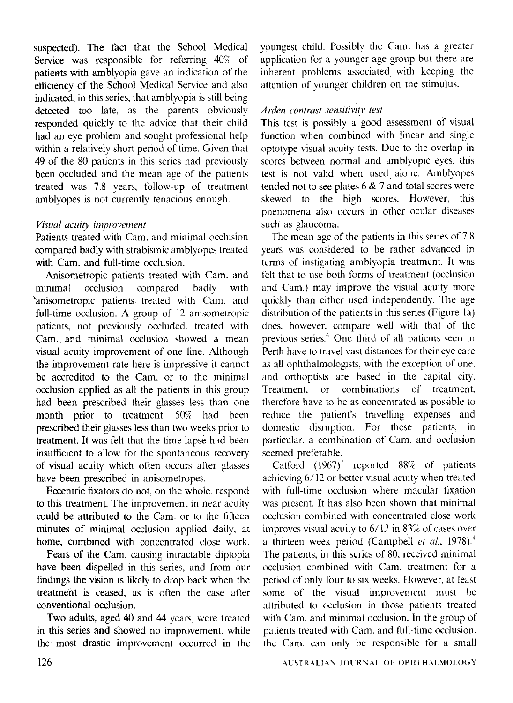suspected). The fact that the School Medical Service was responsible for referring 40% of patients with amblyopia gave an indication of the efficiency of the School Medical Service and also indicated, in this series, that amblyopia is still being detected too late, as the parents obviously responded quickly to the advice that their child had an eye problem and sought professional help within a relatively short period of time. Given that 49 of the 80 patients in this series had previously been occluded and the mean age of the patients treated was 7.8 years, follow-up of treatment amblyopes is not currently tenacious enough.

## *Visual acuity improvement*

Patients treated with Cam. and minimal occlusion compared badly with strabismic amblyopes treated with Cam. and full-time occlusion.

Anisometropic patients treated with Cam. and minimal occlusion compared badly with 'anisometropic patients treated with Cam. and full-time occlusion. **A** group of 12 anisometropic patients, not previously occluded, treated with Cam. and minimal occlusion showed a mean visual acuity improvement of one line. Although the improvement rate here is impressive it cannot be accredited to the Cam. or to the minimal occlusion applied as all the patients in this group had been prescribed their glasses less than one month prior to treatment. 50% had been prescribed their glasses less than two weeks prior to treatment. **It** was felt that the time lapse had been insufficient to allow for the spontaneous recovery of visual acuity which often occurs after glasses have been prescribed in anisometropes.

Eccentric fixators do not, on the whole, respond to this treatment. The improvement in near acuity could be attributed to the Cam. or to the fifteen minutes of minimal occlusion applied daily, at home, combined with concentrated close work.

Fears of the Cam. causing intractable diplopia have been dispelled in this series, and from our findings the vision is llkely to drop back when the treatment is ceased, as is often the case after conventional occlusion.

Two adults, aged 40 and 44 years, were treated in this series and showed no improvement. while the most drastic improvement occurred in the youngest child. Possibly the Cam. has a greater application for a younger age group but there are inherent problems associated with keeping the attention of younger children on the stimulus.

## *Arden contrust sensiriviti. test*

This test is possibly a good assessment of visual function when combined with linear and single optotype visual acuity tests. Due to the overlap in scores between normal and amblyopic eyes, this test is not valid when used alone. Amblyopes tended not to see plates  $6 \& 7$  and total scores were skewed to the high scores. However, this phenomena also occurs in other ocular diseases such as glaucoma.

The mean age of the patients in this series of 7.8 years was considered to be rather advanced in terms of instigating amblyopia treatment. It was felt that to use both forms of treatment (occlusion and Cam.) may improve the visual acuity more quickly than either used independently. The age distribution of the patients in this series (Figure la) does, however, compare well with that of the previous series.<sup>4</sup> One third of all patients seen in Perth have to travel vast distances for their eye care as all ophthalmologists, with the exception of one. and orthoptists are based in the capital city. Treatment, or combinations of treatment. therefore have to be as concentrated as possible to reduce the patient's travelling expenses and domestic disruption. For these patients, in particular. a combination of Cam. and occlusion seemed preferable.

Catford  $(1967)^7$  reported 88% of patients achieving *6/* 12 or better visual acuity when treated with full-time occlusion where macular fixation was present. It has also been shown that minimal occlusion combined with concentrated close work improves visual acuity to  $6/12$  in 83% of cases over a thirteen week period (Campbell *et d.,* 1978).4 The patients, in this series of 80, received minimal occlusion combined with Cam. treatment for a period of only four to six weeks. However, at least some of the visual improvement must be attributed to occlusion in those patients treated with Cam. and minimal occlusion. In the group of patients treated with Cam. and full-time occlusion. the Cam. can only be responsible for a small